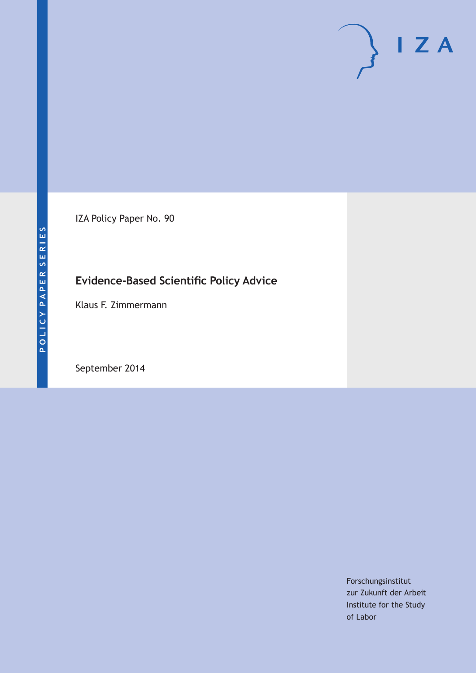IZA Policy Paper No. 90

# **Evidence-Based Scientific Policy Advice**

Klaus F. Zimmermann

September 2014

Forschungsinstitut zur Zukunft der Arbeit Institute for the Study of Labor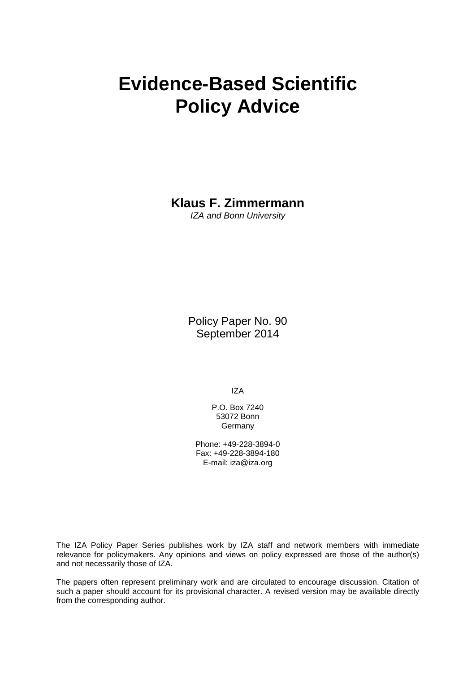# **Evidence-Based Scientific Policy Advice**

**Klaus F. Zimmermann**

*IZA and Bonn University*

Policy Paper No. 90 September 2014

IZA

P.O. Box 7240 53072 Bonn Germany

Phone: +49-228-3894-0 Fax: +49-228-3894-180 E-mail: [iza@iza.org](mailto:iza@iza.org)

The IZA Policy Paper Series publishes work by IZA staff and network members with immediate relevance for policymakers. Any opinions and views on policy expressed are those of the author(s) and not necessarily those of IZA.

<span id="page-1-0"></span>The papers often represent preliminary work and are circulated to encourage discussion. Citation of such a paper should account for its provisional character. A revised version may be available directly from the corresponding author.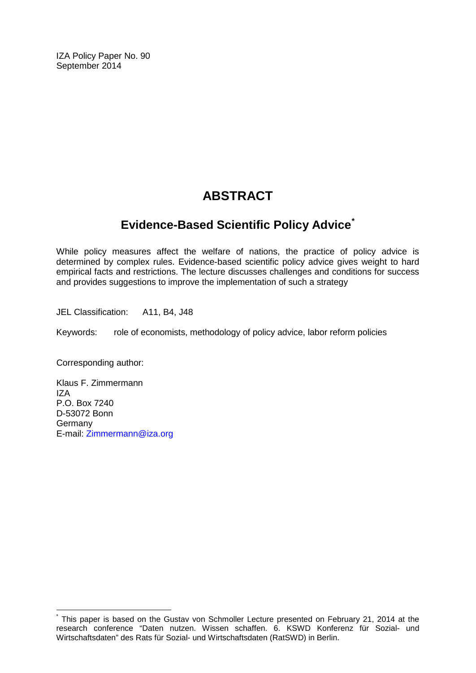IZA Policy Paper No. 90 September 2014

# **ABSTRACT**

# **Evidence-Based Scientific Policy Advice[\\*](#page-1-0)**

While policy measures affect the welfare of nations, the practice of policy advice is determined by complex rules. Evidence-based scientific policy advice gives weight to hard empirical facts and restrictions. The lecture discusses challenges and conditions for success and provides suggestions to improve the implementation of such a strategy

JEL Classification: A11, B4, J48

Keywords: role of economists, methodology of policy advice, labor reform policies

Corresponding author:

Klaus F. Zimmermann IZA P.O. Box 7240 D-53072 Bonn Germany E-mail: [Zimmermann@iza.org](mailto:Zimmermann@iza.org)

This paper is based on the Gustav von Schmoller Lecture presented on February 21, 2014 at the research conference "Daten nutzen. Wissen schaffen. 6. KSWD Konferenz für Sozial- und Wirtschaftsdaten" des Rats für Sozial- und Wirtschaftsdaten (RatSWD) in Berlin.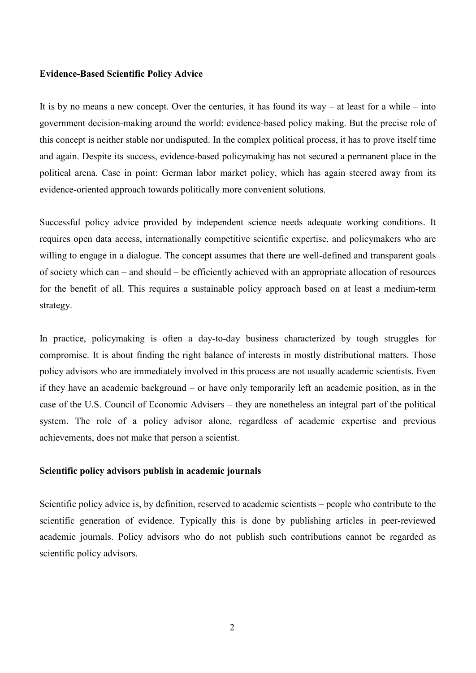#### **Evidence-Based Scientific Policy Advice**

It is by no means a new concept. Over the centuries, it has found its way – at least for a while – into government decision-making around the world: evidence-based policy making. But the precise role of this concept is neither stable nor undisputed. In the complex political process, it has to prove itself time and again. Despite its success, evidence-based policymaking has not secured a permanent place in the political arena. Case in point: German labor market policy, which has again steered away from its evidence-oriented approach towards politically more convenient solutions.

Successful policy advice provided by independent science needs adequate working conditions. It requires open data access, internationally competitive scientific expertise, and policymakers who are willing to engage in a dialogue. The concept assumes that there are well-defined and transparent goals of society which can – and should – be efficiently achieved with an appropriate allocation of resources for the benefit of all. This requires a sustainable policy approach based on at least a medium-term strategy.

In practice, policymaking is often a day-to-day business characterized by tough struggles for compromise. It is about finding the right balance of interests in mostly distributional matters. Those policy advisors who are immediately involved in this process are not usually academic scientists. Even if they have an academic background – or have only temporarily left an academic position, as in the case of the U.S. Council of Economic Advisers – they are nonetheless an integral part of the political system. The role of a policy advisor alone, regardless of academic expertise and previous achievements, does not make that person a scientist.

#### **Scientific policy advisors publish in academic journals**

Scientific policy advice is, by definition, reserved to academic scientists – people who contribute to the scientific generation of evidence. Typically this is done by publishing articles in peer-reviewed academic journals. Policy advisors who do not publish such contributions cannot be regarded as scientific policy advisors.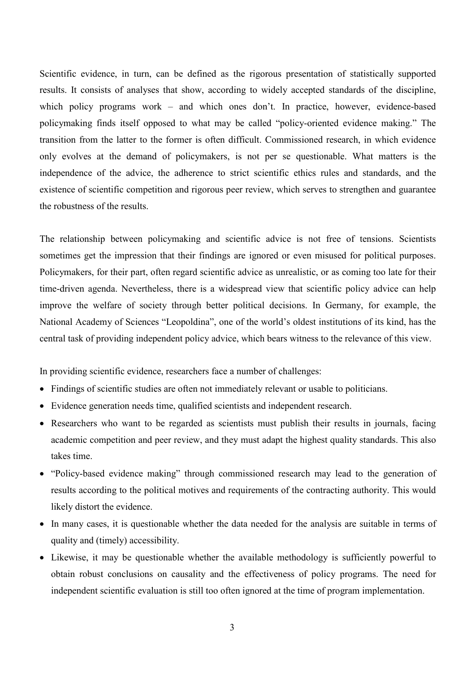Scientific evidence, in turn, can be defined as the rigorous presentation of statistically supported results. It consists of analyses that show, according to widely accepted standards of the discipline, which policy programs work – and which ones don't. In practice, however, evidence-based policymaking finds itself opposed to what may be called "policy-oriented evidence making." The transition from the latter to the former is often difficult. Commissioned research, in which evidence only evolves at the demand of policymakers, is not per se questionable. What matters is the independence of the advice, the adherence to strict scientific ethics rules and standards, and the existence of scientific competition and rigorous peer review, which serves to strengthen and guarantee the robustness of the results.

The relationship between policymaking and scientific advice is not free of tensions. Scientists sometimes get the impression that their findings are ignored or even misused for political purposes. Policymakers, for their part, often regard scientific advice as unrealistic, or as coming too late for their time-driven agenda. Nevertheless, there is a widespread view that scientific policy advice can help improve the welfare of society through better political decisions. In Germany, for example, the National Academy of Sciences "Leopoldina", one of the world's oldest institutions of its kind, has the central task of providing independent policy advice, which bears witness to the relevance of this view.

In providing scientific evidence, researchers face a number of challenges:

- Findings of scientific studies are often not immediately relevant or usable to politicians.
- Evidence generation needs time, qualified scientists and independent research.
- Researchers who want to be regarded as scientists must publish their results in journals, facing academic competition and peer review, and they must adapt the highest quality standards. This also takes time.
- "Policy-based evidence making" through commissioned research may lead to the generation of results according to the political motives and requirements of the contracting authority. This would likely distort the evidence.
- In many cases, it is questionable whether the data needed for the analysis are suitable in terms of quality and (timely) accessibility.
- Likewise, it may be questionable whether the available methodology is sufficiently powerful to obtain robust conclusions on causality and the effectiveness of policy programs. The need for independent scientific evaluation is still too often ignored at the time of program implementation.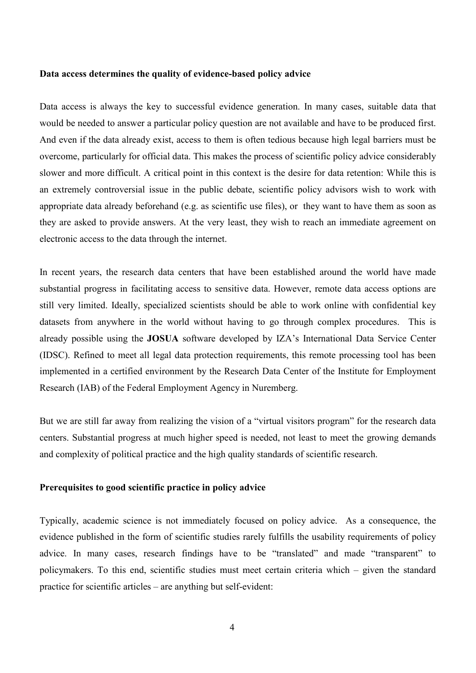#### **Data access determines the quality of evidence-based policy advice**

Data access is always the key to successful evidence generation. In many cases, suitable data that would be needed to answer a particular policy question are not available and have to be produced first. And even if the data already exist, access to them is often tedious because high legal barriers must be overcome, particularly for official data. This makes the process of scientific policy advice considerably slower and more difficult. A critical point in this context is the desire for data retention: While this is an extremely controversial issue in the public debate, scientific policy advisors wish to work with appropriate data already beforehand (e.g. as scientific use files), or they want to have them as soon as they are asked to provide answers. At the very least, they wish to reach an immediate agreement on electronic access to the data through the internet.

In recent years, the research data centers that have been established around the world have made substantial progress in facilitating access to sensitive data. However, remote data access options are still very limited. Ideally, specialized scientists should be able to work online with confidential key datasets from anywhere in the world without having to go through complex procedures. This is already possible using the **JOSUA** software developed by IZA's International Data Service Center (IDSC). Refined to meet all legal data protection requirements, this remote processing tool has been implemented in a certified environment by the Research Data Center of the Institute for Employment Research (IAB) of the Federal Employment Agency in Nuremberg.

But we are still far away from realizing the vision of a "virtual visitors program" for the research data centers. Substantial progress at much higher speed is needed, not least to meet the growing demands and complexity of political practice and the high quality standards of scientific research.

# **Prerequisites to good scientific practice in policy advice**

Typically, academic science is not immediately focused on policy advice. As a consequence, the evidence published in the form of scientific studies rarely fulfills the usability requirements of policy advice. In many cases, research findings have to be "translated" and made "transparent" to policymakers. To this end, scientific studies must meet certain criteria which – given the standard practice for scientific articles – are anything but self-evident: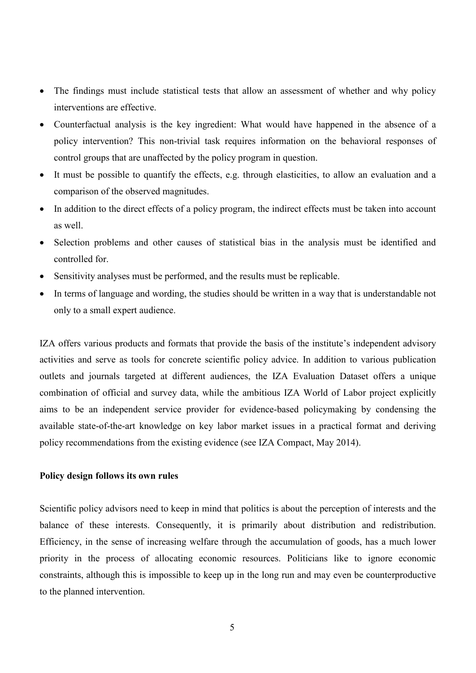- The findings must include statistical tests that allow an assessment of whether and why policy interventions are effective.
- Counterfactual analysis is the key ingredient: What would have happened in the absence of a policy intervention? This non-trivial task requires information on the behavioral responses of control groups that are unaffected by the policy program in question.
- It must be possible to quantify the effects, e.g. through elasticities, to allow an evaluation and a comparison of the observed magnitudes.
- In addition to the direct effects of a policy program, the indirect effects must be taken into account as well.
- Selection problems and other causes of statistical bias in the analysis must be identified and controlled for.
- Sensitivity analyses must be performed, and the results must be replicable.
- In terms of language and wording, the studies should be written in a way that is understandable not only to a small expert audience.

IZA offers various products and formats that provide the basis of the institute's independent advisory activities and serve as tools for concrete scientific policy advice. In addition to various publication outlets and journals targeted at different audiences, the IZA Evaluation Dataset offers a unique combination of official and survey data, while the ambitious IZA World of Labor project explicitly aims to be an independent service provider for evidence-based policymaking by condensing the available state-of-the-art knowledge on key labor market issues in a practical format and deriving policy recommendations from the existing evidence (see IZA Compact, May 2014).

### **Policy design follows its own rules**

Scientific policy advisors need to keep in mind that politics is about the perception of interests and the balance of these interests. Consequently, it is primarily about distribution and redistribution. Efficiency, in the sense of increasing welfare through the accumulation of goods, has a much lower priority in the process of allocating economic resources. Politicians like to ignore economic constraints, although this is impossible to keep up in the long run and may even be counterproductive to the planned intervention.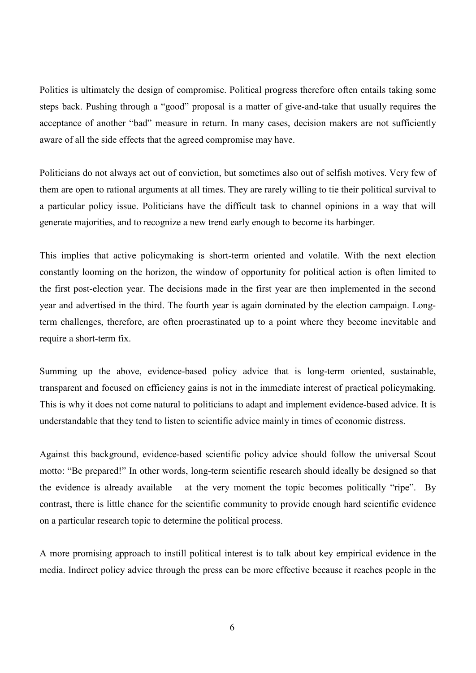Politics is ultimately the design of compromise. Political progress therefore often entails taking some steps back. Pushing through a "good" proposal is a matter of give-and-take that usually requires the acceptance of another "bad" measure in return. In many cases, decision makers are not sufficiently aware of all the side effects that the agreed compromise may have.

Politicians do not always act out of conviction, but sometimes also out of selfish motives. Very few of them are open to rational arguments at all times. They are rarely willing to tie their political survival to a particular policy issue. Politicians have the difficult task to channel opinions in a way that will generate majorities, and to recognize a new trend early enough to become its harbinger.

This implies that active policymaking is short-term oriented and volatile. With the next election constantly looming on the horizon, the window of opportunity for political action is often limited to the first post-election year. The decisions made in the first year are then implemented in the second year and advertised in the third. The fourth year is again dominated by the election campaign. Longterm challenges, therefore, are often procrastinated up to a point where they become inevitable and require a short-term fix.

Summing up the above, evidence-based policy advice that is long-term oriented, sustainable, transparent and focused on efficiency gains is not in the immediate interest of practical policymaking. This is why it does not come natural to politicians to adapt and implement evidence-based advice. It is understandable that they tend to listen to scientific advice mainly in times of economic distress.

Against this background, evidence-based scientific policy advice should follow the universal Scout motto: "Be prepared!" In other words, long-term scientific research should ideally be designed so that the evidence is already available at the very moment the topic becomes politically "ripe". By contrast, there is little chance for the scientific community to provide enough hard scientific evidence on a particular research topic to determine the political process.

A more promising approach to instill political interest is to talk about key empirical evidence in the media. Indirect policy advice through the press can be more effective because it reaches people in the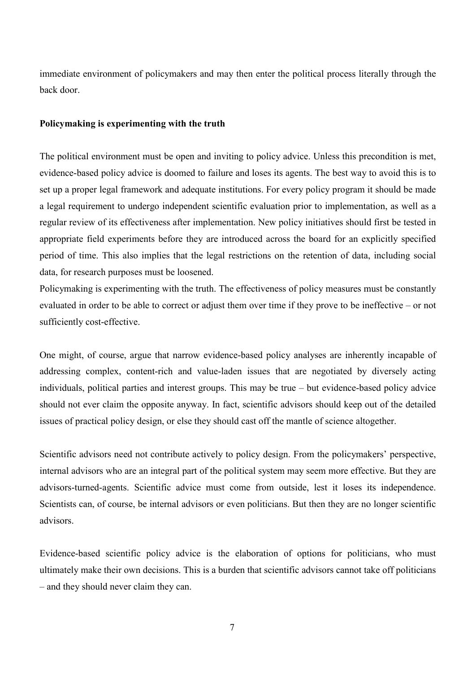immediate environment of policymakers and may then enter the political process literally through the back door.

## **Policymaking is experimenting with the truth**

The political environment must be open and inviting to policy advice. Unless this precondition is met, evidence-based policy advice is doomed to failure and loses its agents. The best way to avoid this is to set up a proper legal framework and adequate institutions. For every policy program it should be made a legal requirement to undergo independent scientific evaluation prior to implementation, as well as a regular review of its effectiveness after implementation. New policy initiatives should first be tested in appropriate field experiments before they are introduced across the board for an explicitly specified period of time. This also implies that the legal restrictions on the retention of data, including social data, for research purposes must be loosened.

Policymaking is experimenting with the truth. The effectiveness of policy measures must be constantly evaluated in order to be able to correct or adjust them over time if they prove to be ineffective – or not sufficiently cost-effective.

One might, of course, argue that narrow evidence-based policy analyses are inherently incapable of addressing complex, content-rich and value-laden issues that are negotiated by diversely acting individuals, political parties and interest groups. This may be true – but evidence-based policy advice should not ever claim the opposite anyway. In fact, scientific advisors should keep out of the detailed issues of practical policy design, or else they should cast off the mantle of science altogether.

Scientific advisors need not contribute actively to policy design. From the policymakers' perspective, internal advisors who are an integral part of the political system may seem more effective. But they are advisors-turned-agents. Scientific advice must come from outside, lest it loses its independence. Scientists can, of course, be internal advisors or even politicians. But then they are no longer scientific advisors.

Evidence-based scientific policy advice is the elaboration of options for politicians, who must ultimately make their own decisions. This is a burden that scientific advisors cannot take off politicians – and they should never claim they can.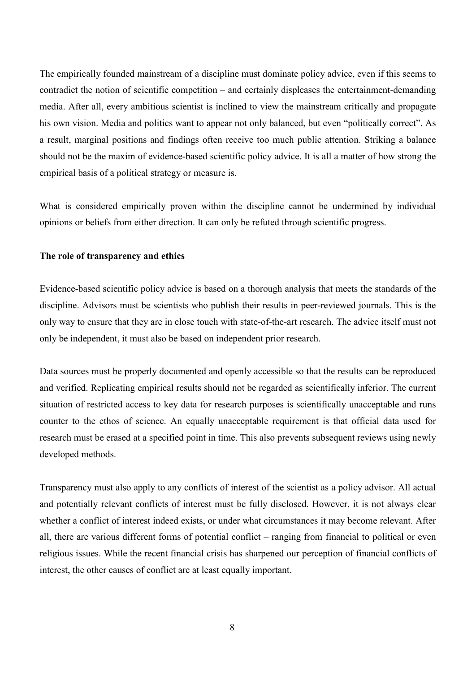The empirically founded mainstream of a discipline must dominate policy advice, even if this seems to contradict the notion of scientific competition – and certainly displeases the entertainment-demanding media. After all, every ambitious scientist is inclined to view the mainstream critically and propagate his own vision. Media and politics want to appear not only balanced, but even "politically correct". As a result, marginal positions and findings often receive too much public attention. Striking a balance should not be the maxim of evidence-based scientific policy advice. It is all a matter of how strong the empirical basis of a political strategy or measure is.

What is considered empirically proven within the discipline cannot be undermined by individual opinions or beliefs from either direction. It can only be refuted through scientific progress.

## **The role of transparency and ethics**

Evidence-based scientific policy advice is based on a thorough analysis that meets the standards of the discipline. Advisors must be scientists who publish their results in peer-reviewed journals. This is the only way to ensure that they are in close touch with state-of-the-art research. The advice itself must not only be independent, it must also be based on independent prior research.

Data sources must be properly documented and openly accessible so that the results can be reproduced and verified. Replicating empirical results should not be regarded as scientifically inferior. The current situation of restricted access to key data for research purposes is scientifically unacceptable and runs counter to the ethos of science. An equally unacceptable requirement is that official data used for research must be erased at a specified point in time. This also prevents subsequent reviews using newly developed methods.

Transparency must also apply to any conflicts of interest of the scientist as a policy advisor. All actual and potentially relevant conflicts of interest must be fully disclosed. However, it is not always clear whether a conflict of interest indeed exists, or under what circumstances it may become relevant. After all, there are various different forms of potential conflict – ranging from financial to political or even religious issues. While the recent financial crisis has sharpened our perception of financial conflicts of interest, the other causes of conflict are at least equally important.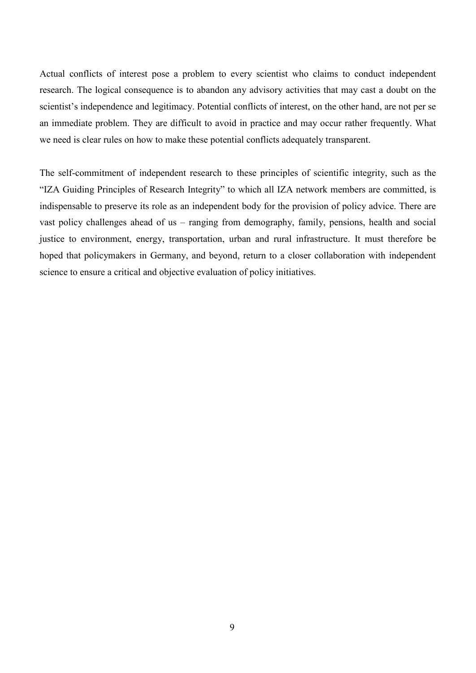Actual conflicts of interest pose a problem to every scientist who claims to conduct independent research. The logical consequence is to abandon any advisory activities that may cast a doubt on the scientist's independence and legitimacy. Potential conflicts of interest, on the other hand, are not per se an immediate problem. They are difficult to avoid in practice and may occur rather frequently. What we need is clear rules on how to make these potential conflicts adequately transparent.

The self-commitment of independent research to these principles of scientific integrity, such as the "IZA Guiding Principles of Research Integrity" to which all IZA network members are committed, is indispensable to preserve its role as an independent body for the provision of policy advice. There are vast policy challenges ahead of us – ranging from demography, family, pensions, health and social justice to environment, energy, transportation, urban and rural infrastructure. It must therefore be hoped that policymakers in Germany, and beyond, return to a closer collaboration with independent science to ensure a critical and objective evaluation of policy initiatives.